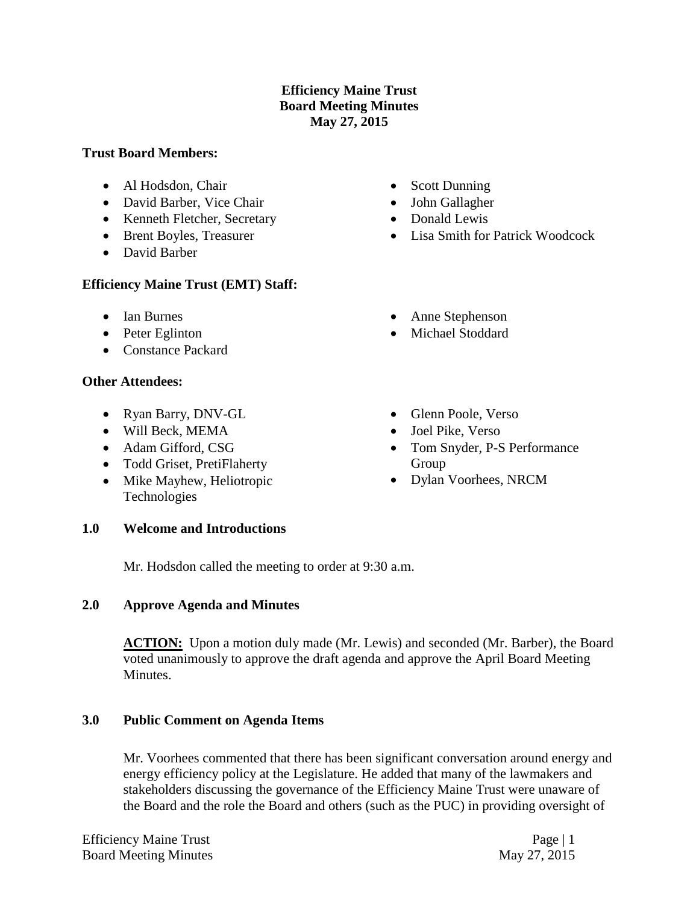### **Efficiency Maine Trust Board Meeting Minutes May 27, 2015**

#### **Trust Board Members:**

- Al Hodsdon, Chair
- David Barber, Vice Chair
- Kenneth Fletcher, Secretary
- Brent Boyles, Treasurer
- David Barber

## **Efficiency Maine Trust (EMT) Staff:**

- Ian Burnes
- Peter Eglinton
- Constance Packard

## **Other Attendees:**

- Ryan Barry, DNV-GL
- Will Beck, MEMA
- Adam Gifford, CSG
- Todd Griset, PretiFlaherty
- Mike Mayhew, Heliotropic Technologies

### **1.0 Welcome and Introductions**

Mr. Hodsdon called the meeting to order at 9:30 a.m.

### **2.0 Approve Agenda and Minutes**

ACTION: Upon a motion duly made (Mr. Lewis) and seconded (Mr. Barber), the Board voted unanimously to approve the draft agenda and approve the April Board Meeting **Minutes** 

### **3.0 Public Comment on Agenda Items**

Mr. Voorhees commented that there has been significant conversation around energy and energy efficiency policy at the Legislature. He added that many of the lawmakers and stakeholders discussing the governance of the Efficiency Maine Trust were unaware of the Board and the role the Board and others (such as the PUC) in providing oversight of

- Scott Dunning
- John Gallagher
- Donald Lewis
- Lisa Smith for Patrick Woodcock
- Anne Stephenson
- Michael Stoddard
- Glenn Poole, Verso
- Joel Pike, Verso
- Tom Snyder, P-S Performance Group
- Dylan Voorhees, NRCM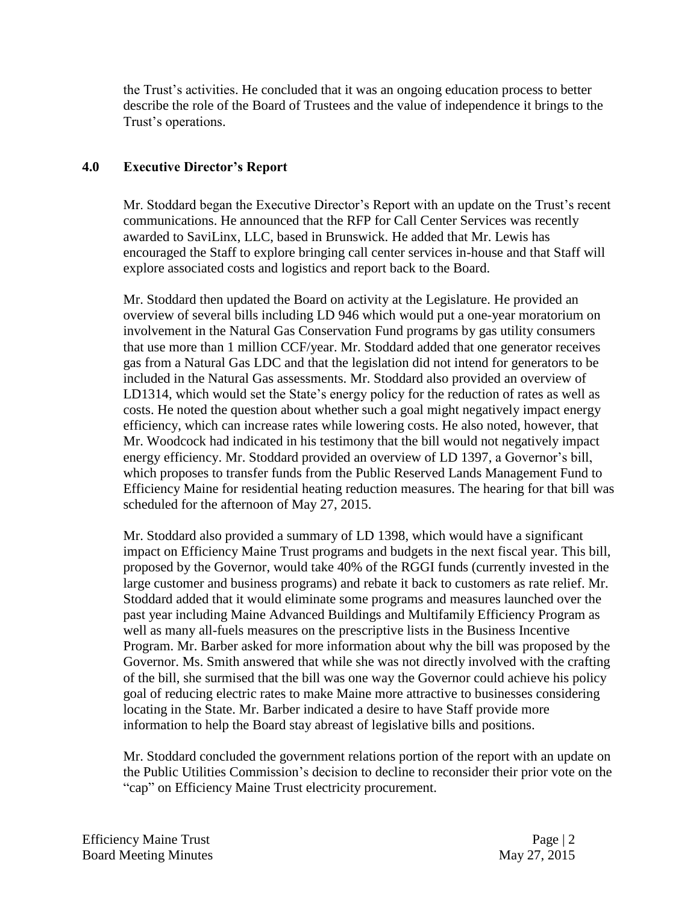the Trust's activities. He concluded that it was an ongoing education process to better describe the role of the Board of Trustees and the value of independence it brings to the Trust's operations.

### **4.0 Executive Director's Report**

Mr. Stoddard began the Executive Director's Report with an update on the Trust's recent communications. He announced that the RFP for Call Center Services was recently awarded to SaviLinx, LLC, based in Brunswick. He added that Mr. Lewis has encouraged the Staff to explore bringing call center services in-house and that Staff will explore associated costs and logistics and report back to the Board.

Mr. Stoddard then updated the Board on activity at the Legislature. He provided an overview of several bills including LD 946 which would put a one-year moratorium on involvement in the Natural Gas Conservation Fund programs by gas utility consumers that use more than 1 million CCF/year. Mr. Stoddard added that one generator receives gas from a Natural Gas LDC and that the legislation did not intend for generators to be included in the Natural Gas assessments. Mr. Stoddard also provided an overview of LD1314, which would set the State's energy policy for the reduction of rates as well as costs. He noted the question about whether such a goal might negatively impact energy efficiency, which can increase rates while lowering costs. He also noted, however, that Mr. Woodcock had indicated in his testimony that the bill would not negatively impact energy efficiency. Mr. Stoddard provided an overview of LD 1397, a Governor's bill, which proposes to transfer funds from the Public Reserved Lands Management Fund to Efficiency Maine for residential heating reduction measures. The hearing for that bill was scheduled for the afternoon of May 27, 2015.

Mr. Stoddard also provided a summary of LD 1398, which would have a significant impact on Efficiency Maine Trust programs and budgets in the next fiscal year. This bill, proposed by the Governor, would take 40% of the RGGI funds (currently invested in the large customer and business programs) and rebate it back to customers as rate relief. Mr. Stoddard added that it would eliminate some programs and measures launched over the past year including Maine Advanced Buildings and Multifamily Efficiency Program as well as many all-fuels measures on the prescriptive lists in the Business Incentive Program. Mr. Barber asked for more information about why the bill was proposed by the Governor. Ms. Smith answered that while she was not directly involved with the crafting of the bill, she surmised that the bill was one way the Governor could achieve his policy goal of reducing electric rates to make Maine more attractive to businesses considering locating in the State. Mr. Barber indicated a desire to have Staff provide more information to help the Board stay abreast of legislative bills and positions.

Mr. Stoddard concluded the government relations portion of the report with an update on the Public Utilities Commission's decision to decline to reconsider their prior vote on the "cap" on Efficiency Maine Trust electricity procurement.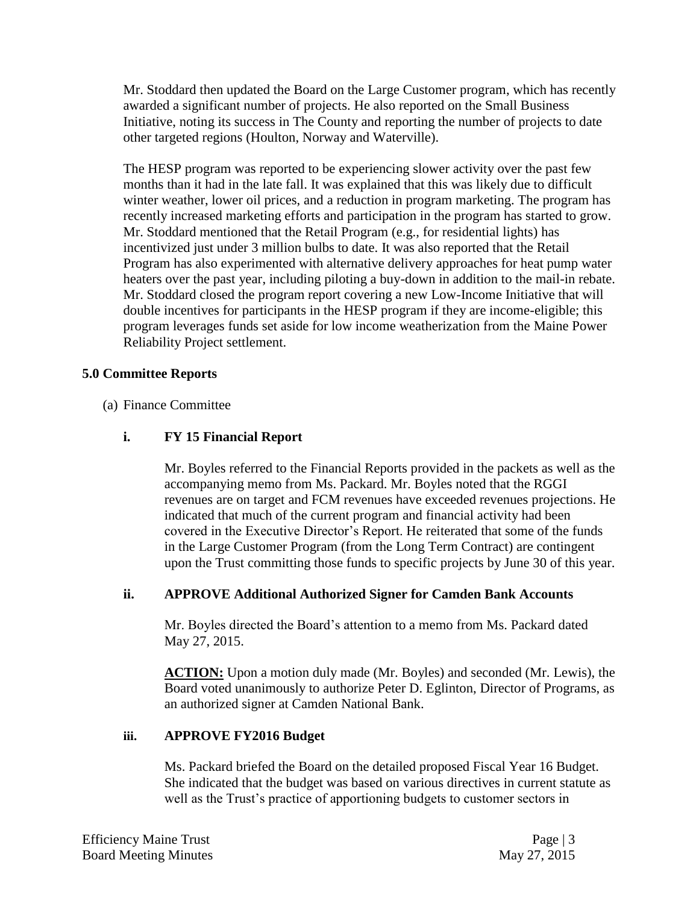Mr. Stoddard then updated the Board on the Large Customer program, which has recently awarded a significant number of projects. He also reported on the Small Business Initiative, noting its success in The County and reporting the number of projects to date other targeted regions (Houlton, Norway and Waterville).

The HESP program was reported to be experiencing slower activity over the past few months than it had in the late fall. It was explained that this was likely due to difficult winter weather, lower oil prices, and a reduction in program marketing. The program has recently increased marketing efforts and participation in the program has started to grow. Mr. Stoddard mentioned that the Retail Program (e.g., for residential lights) has incentivized just under 3 million bulbs to date. It was also reported that the Retail Program has also experimented with alternative delivery approaches for heat pump water heaters over the past year, including piloting a buy-down in addition to the mail-in rebate. Mr. Stoddard closed the program report covering a new Low-Income Initiative that will double incentives for participants in the HESP program if they are income-eligible; this program leverages funds set aside for low income weatherization from the Maine Power Reliability Project settlement.

### **5.0 Committee Reports**

(a) Finance Committee

# **i. FY 15 Financial Report**

Mr. Boyles referred to the Financial Reports provided in the packets as well as the accompanying memo from Ms. Packard. Mr. Boyles noted that the RGGI revenues are on target and FCM revenues have exceeded revenues projections. He indicated that much of the current program and financial activity had been covered in the Executive Director's Report. He reiterated that some of the funds in the Large Customer Program (from the Long Term Contract) are contingent upon the Trust committing those funds to specific projects by June 30 of this year.

### **ii. APPROVE Additional Authorized Signer for Camden Bank Accounts**

Mr. Boyles directed the Board's attention to a memo from Ms. Packard dated May 27, 2015.

**ACTION:** Upon a motion duly made (Mr. Boyles) and seconded (Mr. Lewis), the Board voted unanimously to authorize Peter D. Eglinton, Director of Programs, as an authorized signer at Camden National Bank.

### **iii. APPROVE FY2016 Budget**

Ms. Packard briefed the Board on the detailed proposed Fiscal Year 16 Budget. She indicated that the budget was based on various directives in current statute as well as the Trust's practice of apportioning budgets to customer sectors in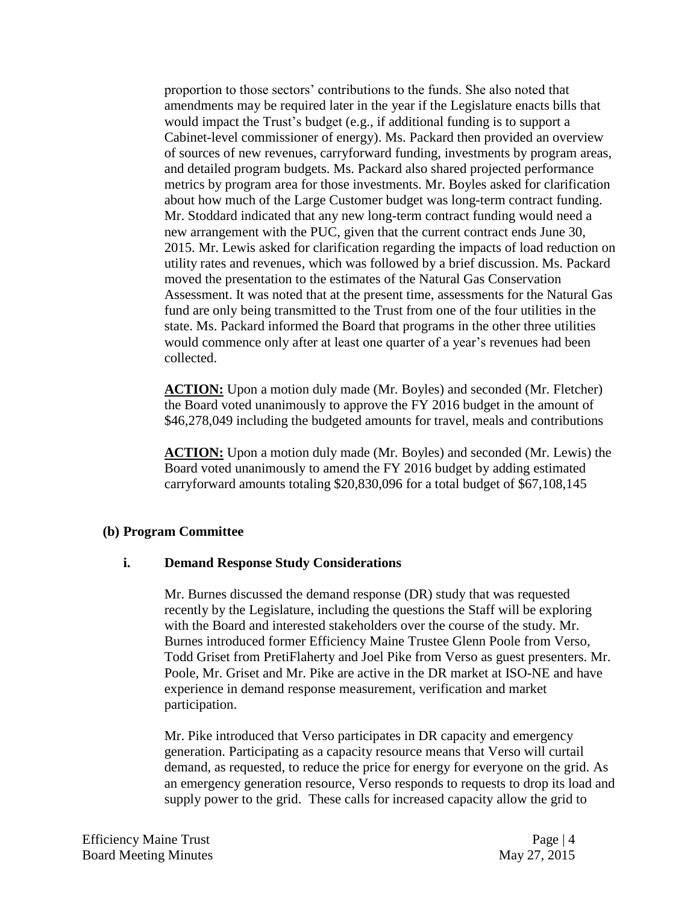proportion to those sectors' contributions to the funds. She also noted that amendments may be required later in the year if the Legislature enacts bills that would impact the Trust's budget (e.g., if additional funding is to support a Cabinet-level commissioner of energy). Ms. Packard then provided an overview of sources of new revenues, carryforward funding, investments by program areas, and detailed program budgets. Ms. Packard also shared projected performance metrics by program area for those investments. Mr. Boyles asked for clarification about how much of the Large Customer budget was long-term contract funding. Mr. Stoddard indicated that any new long-term contract funding would need a new arrangement with the PUC, given that the current contract ends June 30, 2015. Mr. Lewis asked for clarification regarding the impacts of load reduction on utility rates and revenues, which was followed by a brief discussion. Ms. Packard moved the presentation to the estimates of the Natural Gas Conservation Assessment. It was noted that at the present time, assessments for the Natural Gas fund are only being transmitted to the Trust from one of the four utilities in the state. Ms. Packard informed the Board that programs in the other three utilities would commence only after at least one quarter of a year's revenues had been collected.

**ACTION:** Upon a motion duly made (Mr. Boyles) and seconded (Mr. Fletcher) the Board voted unanimously to approve the FY 2016 budget in the amount of \$46,278,049 including the budgeted amounts for travel, meals and contributions

**ACTION:** Upon a motion duly made (Mr. Boyles) and seconded (Mr. Lewis) the Board voted unanimously to amend the FY 2016 budget by adding estimated carryforward amounts totaling \$20,830,096 for a total budget of \$67,108,145

#### **(b) Program Committee**

#### **i. Demand Response Study Considerations**

Mr. Burnes discussed the demand response (DR) study that was requested recently by the Legislature, including the questions the Staff will be exploring with the Board and interested stakeholders over the course of the study. Mr. Burnes introduced former Efficiency Maine Trustee Glenn Poole from Verso, Todd Griset from PretiFlaherty and Joel Pike from Verso as guest presenters. Mr. Poole, Mr. Griset and Mr. Pike are active in the DR market at ISO-NE and have experience in demand response measurement, verification and market participation.

Mr. Pike introduced that Verso participates in DR capacity and emergency generation. Participating as a capacity resource means that Verso will curtail demand, as requested, to reduce the price for energy for everyone on the grid. As an emergency generation resource, Verso responds to requests to drop its load and supply power to the grid. These calls for increased capacity allow the grid to